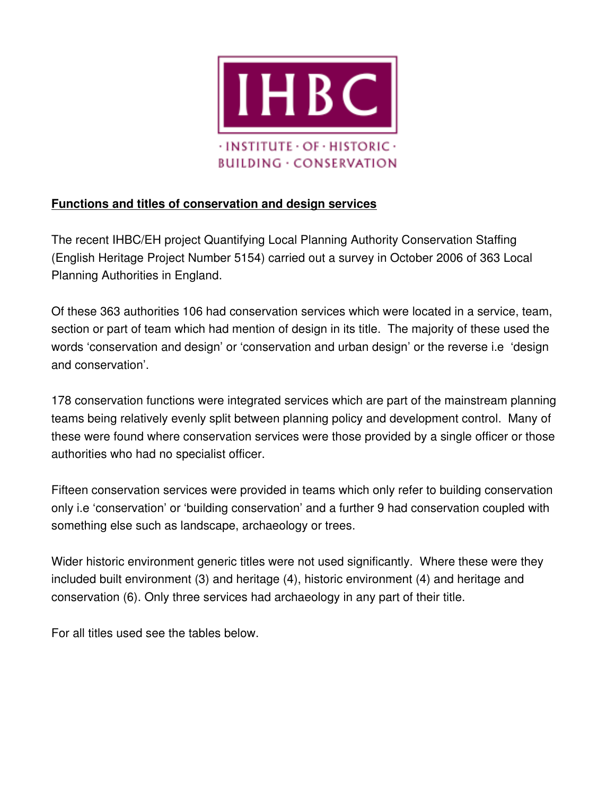

# **Functions and titles of conservation and design services**

The recent IHBC/EH project Quantifying Local Planning Authority Conservation Staffing (English Heritage Project Number 5154) carried out a survey in October 2006 of 363 Local Planning Authorities in England.

Of these 363 authorities 106 had conservation services which were located in a service, team, section or part of team which had mention of design in its title. The majority of these used the words 'conservation and design' or 'conservation and urban design' or the reverse i.e 'design and conservation'.

178 conservation functions were integrated services which are part of the mainstream planning teams being relatively evenly split between planning policy and development control. Many of these were found where conservation services were those provided by a single officer or those authorities who had no specialist officer.

Fifteen conservation services were provided in teams which only refer to building conservation only i.e 'conservation' or 'building conservation' and a further 9 had conservation coupled with something else such as landscape, archaeology or trees.

Wider historic environment generic titles were not used significantly. Where these were they included built environment (3) and heritage (4), historic environment (4) and heritage and conservation (6). Only three services had archaeology in any part of their title.

For all titles used see the tables below.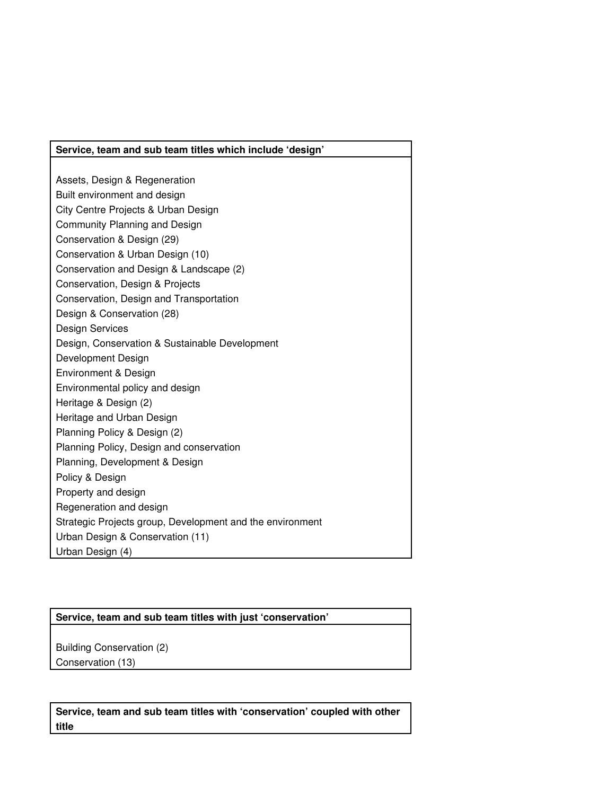#### **Service, team and sub team titles which include 'design'**

Assets, Design & Regeneration Built environment and design City Centre Projects & Urban Design Community Planning and Design Conservation & Design (29) Conservation & Urban Design (10) Conservation and Design & Landscape (2) Conservation, Design & Projects Conservation, Design and Transportation Design & Conservation (28) Design Services Design, Conservation & Sustainable Development Development Design Environment & Design Environmental policy and design Heritage & Design (2) Heritage and Urban Design Planning Policy & Design (2) Planning Policy, Design and conservation Planning, Development & Design Policy & Design Property and design Regeneration and design Strategic Projects group, Development and the environment Urban Design & Conservation (11) Urban Design (4)

### **Service, team and sub team titles with just 'conservation'**

Building Conservation (2) Conservation (13)

**Service, team and sub team titles with 'conservation' coupled with other title**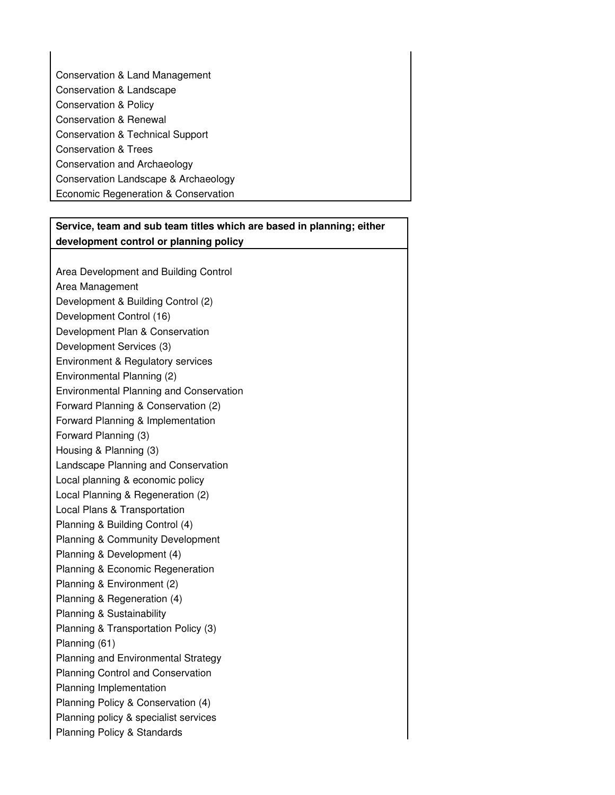Conservation & Land Management Conservation & Landscape Conservation & Policy Conservation & Renewal Conservation & Technical Support Conservation & Trees Conservation and Archaeology Conservation Landscape & Archaeology Economic Regeneration & Conservation

### **Service, team and sub team titles which are based in planning; either development control or planning policy**

Area Development and Building Control Area Management Development & Building Control (2) Development Control (16) Development Plan & Conservation Development Services (3) Environment & Regulatory services Environmental Planning (2) Environmental Planning and Conservation Forward Planning & Conservation (2) Forward Planning & Implementation Forward Planning (3) Housing & Planning (3) Landscape Planning and Conservation Local planning & economic policy Local Planning & Regeneration (2) Local Plans & Transportation Planning & Building Control (4) Planning & Community Development Planning & Development (4) Planning & Economic Regeneration Planning & Environment (2) Planning & Regeneration (4) Planning & Sustainability Planning & Transportation Policy (3) Planning (61) Planning and Environmental Strategy Planning Control and Conservation Planning Implementation Planning Policy & Conservation (4) Planning policy & specialist services Planning Policy & Standards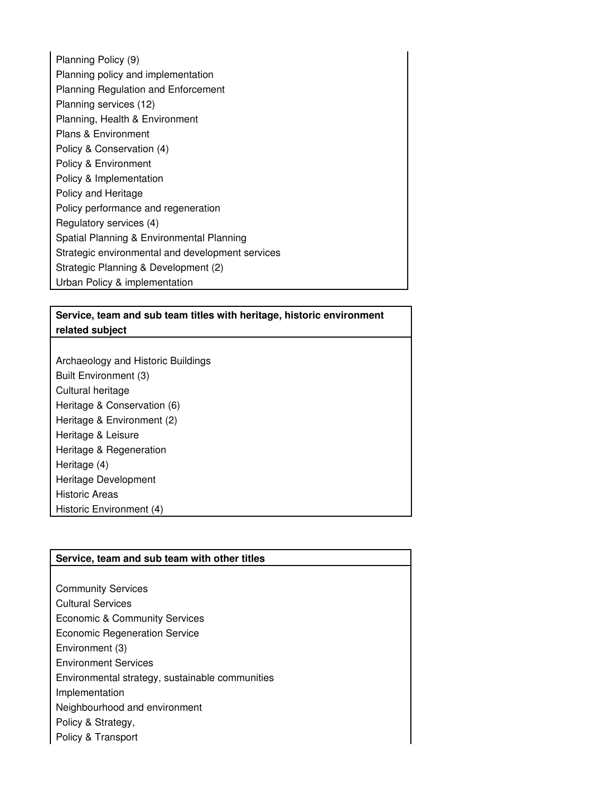Planning Policy (9) Planning policy and implementation Planning Regulation and Enforcement Planning services (12) Planning, Health & Environment Plans & Environment Policy & Conservation (4) Policy & Environment Policy & Implementation Policy and Heritage Policy performance and regeneration Regulatory services (4) Spatial Planning & Environmental Planning Strategic environmental and development services Strategic Planning & Development (2) Urban Policy & implementation

### **Service, team and sub team titles with heritage, historic environment related subject**

Archaeology and Historic Buildings Built Environment (3) Cultural heritage Heritage & Conservation (6) Heritage & Environment (2) Heritage & Leisure Heritage & Regeneration Heritage (4) Heritage Development Historic Areas Historic Environment (4)

### **Service, team and sub team with other titles**

Community Services Cultural Services Economic & Community Services Economic Regeneration Service Environment (3) Environment Services Environmental strategy, sustainable communities Implementation Neighbourhood and environment Policy & Strategy, Policy & Transport